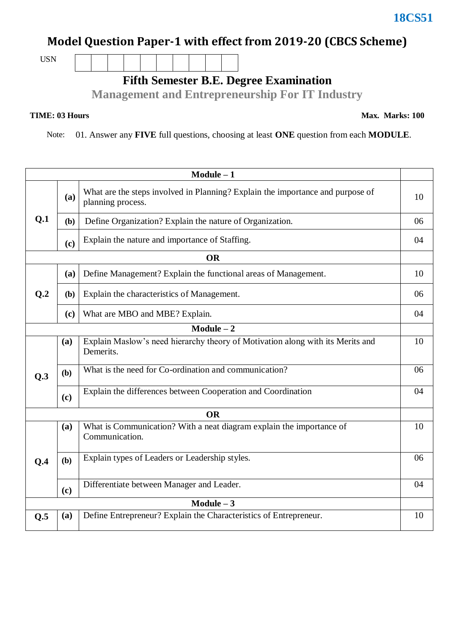### **Model Question Paper-1 with effect from 2019-20 (CBCS Scheme)**

USN

**Fifth Semester B.E. Degree Examination**

**Management and Entrepreneurship For IT Industry** 

#### **TIME: 03 Hours**

Note: 01. Answer any **FIVE** full questions, choosing at least **ONE** question from each **MODULE**.

| $Module - 1$   |     |                                                                                                     |    |  |  |
|----------------|-----|-----------------------------------------------------------------------------------------------------|----|--|--|
|                | (a) | What are the steps involved in Planning? Explain the importance and purpose of<br>planning process. | 10 |  |  |
| Q.1            | (b) | Define Organization? Explain the nature of Organization.                                            |    |  |  |
|                | (c) | Explain the nature and importance of Staffing.                                                      | 04 |  |  |
|                |     | <b>OR</b>                                                                                           |    |  |  |
|                | (a) | Define Management? Explain the functional areas of Management.                                      | 10 |  |  |
| Q <sub>0</sub> | (b) | Explain the characteristics of Management.                                                          | 06 |  |  |
|                | (c) | What are MBO and MBE? Explain.                                                                      | 04 |  |  |
| $Module - 2$   |     |                                                                                                     |    |  |  |
|                | (a) | Explain Maslow's need hierarchy theory of Motivation along with its Merits and<br>Demerits.         | 10 |  |  |
| Q.3            | (b) | What is the need for Co-ordination and communication?                                               | 06 |  |  |
|                | (c) | Explain the differences between Cooperation and Coordination                                        | 04 |  |  |
| <b>OR</b>      |     |                                                                                                     |    |  |  |
|                | (a) | What is Communication? With a neat diagram explain the importance of<br>Communication.              | 10 |  |  |
| Q.4            | (b) | Explain types of Leaders or Leadership styles.                                                      | 06 |  |  |
|                | (c) | Differentiate between Manager and Leader.                                                           | 04 |  |  |
| Module $-3$    |     |                                                                                                     |    |  |  |
| Q.5            | (a) | Define Entrepreneur? Explain the Characteristics of Entrepreneur.                                   | 10 |  |  |

### **18CS51**

**Max. Marks: 100**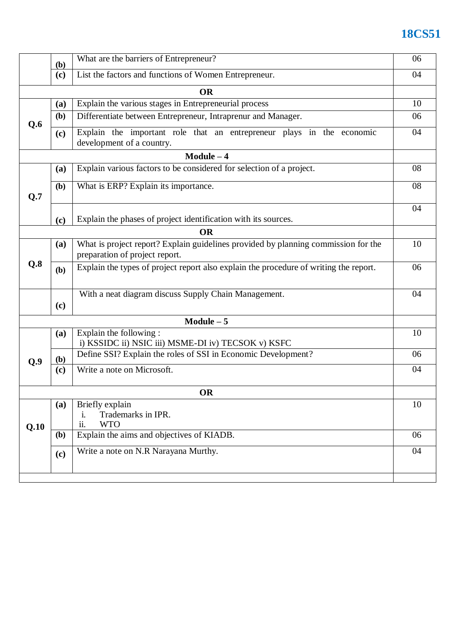# **18CS51**

|           | (b)                                                          | What are the barriers of Entrepreneur?                                                                               |    |  |  |
|-----------|--------------------------------------------------------------|----------------------------------------------------------------------------------------------------------------------|----|--|--|
|           | List the factors and functions of Women Entrepreneur.<br>(c) |                                                                                                                      |    |  |  |
| <b>OR</b> |                                                              |                                                                                                                      |    |  |  |
|           | (a)                                                          | Explain the various stages in Entrepreneurial process                                                                | 10 |  |  |
| Q.6       | (b)                                                          | Differentiate between Entrepreneur, Intraprenur and Manager.                                                         |    |  |  |
|           | (c)                                                          | Explain the important role that an entrepreneur plays in the economic<br>development of a country.                   | 04 |  |  |
|           |                                                              | $Module - 4$                                                                                                         |    |  |  |
|           | (a)                                                          | Explain various factors to be considered for selection of a project.                                                 | 08 |  |  |
| Q.7       | (b)                                                          | What is ERP? Explain its importance.                                                                                 |    |  |  |
|           | (c)                                                          | Explain the phases of project identification with its sources.                                                       | 04 |  |  |
|           |                                                              | <b>OR</b>                                                                                                            |    |  |  |
|           | (a)                                                          | What is project report? Explain guidelines provided by planning commission for the<br>preparation of project report. |    |  |  |
| Q.8       | (b)                                                          | Explain the types of project report also explain the procedure of writing the report.                                |    |  |  |
|           | (c)                                                          | With a neat diagram discuss Supply Chain Management.                                                                 | 04 |  |  |
|           |                                                              | $Module - 5$                                                                                                         |    |  |  |
|           | (a)                                                          | Explain the following:<br>i) KSSIDC ii) NSIC iii) MSME-DI iv) TECSOK v) KSFC                                         | 10 |  |  |
| Q.9       | (b)                                                          | Define SSI? Explain the roles of SSI in Economic Development?                                                        |    |  |  |
|           | (c)                                                          | Write a note on Microsoft.                                                                                           | 04 |  |  |
| OR        |                                                              |                                                                                                                      |    |  |  |
| Q.10      | (a)                                                          | Briefly explain<br>Trademarks in IPR.<br>i.<br>ii.<br><b>WTO</b>                                                     | 10 |  |  |
|           | (b)                                                          | Explain the aims and objectives of KIADB.                                                                            | 06 |  |  |
|           | (c)                                                          | Write a note on N.R Narayana Murthy.                                                                                 | 04 |  |  |
|           |                                                              |                                                                                                                      |    |  |  |